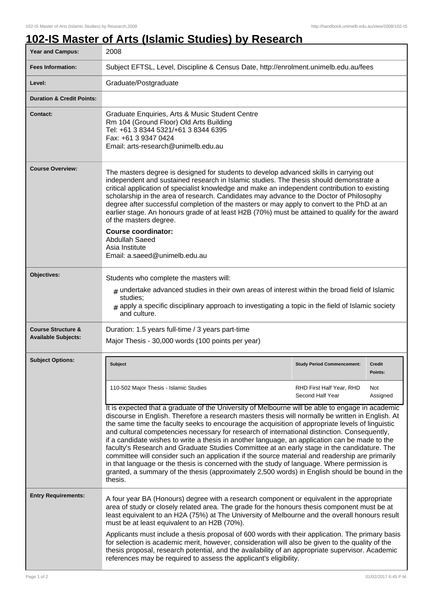## **102-IS Master of Arts (Islamic Studies) by Research**

| <b>Year and Campus:</b>                                     | 2008                                                                                                                                                                                                                                                                                                                                                                                                                                                                                                                                                                                                                                                                                                                                                                                                                                                                                                                      |                                                                                                                                                                                                                                                                                                          |                          |  |
|-------------------------------------------------------------|---------------------------------------------------------------------------------------------------------------------------------------------------------------------------------------------------------------------------------------------------------------------------------------------------------------------------------------------------------------------------------------------------------------------------------------------------------------------------------------------------------------------------------------------------------------------------------------------------------------------------------------------------------------------------------------------------------------------------------------------------------------------------------------------------------------------------------------------------------------------------------------------------------------------------|----------------------------------------------------------------------------------------------------------------------------------------------------------------------------------------------------------------------------------------------------------------------------------------------------------|--------------------------|--|
| <b>Fees Information:</b>                                    | Subject EFTSL, Level, Discipline & Census Date, http://enrolment.unimelb.edu.au/fees                                                                                                                                                                                                                                                                                                                                                                                                                                                                                                                                                                                                                                                                                                                                                                                                                                      |                                                                                                                                                                                                                                                                                                          |                          |  |
| Level:                                                      | Graduate/Postgraduate                                                                                                                                                                                                                                                                                                                                                                                                                                                                                                                                                                                                                                                                                                                                                                                                                                                                                                     |                                                                                                                                                                                                                                                                                                          |                          |  |
| <b>Duration &amp; Credit Points:</b>                        |                                                                                                                                                                                                                                                                                                                                                                                                                                                                                                                                                                                                                                                                                                                                                                                                                                                                                                                           |                                                                                                                                                                                                                                                                                                          |                          |  |
| <b>Contact:</b>                                             | Graduate Enquiries, Arts & Music Student Centre<br>Rm 104 (Ground Floor) Old Arts Building<br>Tel: +61 3 8344 5321/+61 3 8344 6395<br>Fax: +61 3 9347 0424<br>Email: arts-research@unimelb.edu.au                                                                                                                                                                                                                                                                                                                                                                                                                                                                                                                                                                                                                                                                                                                         |                                                                                                                                                                                                                                                                                                          |                          |  |
| <b>Course Overview:</b>                                     | The masters degree is designed for students to develop advanced skills in carrying out<br>independent and sustained research in Islamic studies. The thesis should demonstrate a<br>critical application of specialist knowledge and make an independent contribution to existing<br>scholarship in the area of research. Candidates may advance to the Doctor of Philosophy<br>degree after successful completion of the masters or may apply to convert to the PhD at an<br>earlier stage. An honours grade of at least H2B (70%) must be attained to qualify for the award<br>of the masters degree.<br><b>Course coordinator:</b><br>Abdullah Saeed<br>Asia Institute<br>Email: a.saeed@unimelb.edu.au                                                                                                                                                                                                                |                                                                                                                                                                                                                                                                                                          |                          |  |
| Objectives:                                                 | Students who complete the masters will:<br>$_{\text{\#}}$ undertake advanced studies in their own areas of interest within the broad field of Islamic<br>studies;<br>$_{\#}$ apply a specific disciplinary approach to investigating a topic in the field of Islamic society<br>and culture.                                                                                                                                                                                                                                                                                                                                                                                                                                                                                                                                                                                                                              |                                                                                                                                                                                                                                                                                                          |                          |  |
| <b>Course Structure &amp;</b><br><b>Available Subjects:</b> | Duration: 1.5 years full-time / 3 years part-time<br>Major Thesis - 30,000 words (100 points per year)                                                                                                                                                                                                                                                                                                                                                                                                                                                                                                                                                                                                                                                                                                                                                                                                                    |                                                                                                                                                                                                                                                                                                          |                          |  |
| <b>Subject Options:</b>                                     | <b>Subject</b>                                                                                                                                                                                                                                                                                                                                                                                                                                                                                                                                                                                                                                                                                                                                                                                                                                                                                                            | <b>Study Period Commencement:</b>                                                                                                                                                                                                                                                                        | <b>Credit</b><br>Points: |  |
|                                                             | 110-502 Major Thesis - Islamic Studies                                                                                                                                                                                                                                                                                                                                                                                                                                                                                                                                                                                                                                                                                                                                                                                                                                                                                    | RHD First Half Year, RHD<br>Second Half Year                                                                                                                                                                                                                                                             | Not<br>Assigned          |  |
|                                                             | It is expected that a graduate of the University of Melbourne will be able to engage in academic<br>discourse in English. Therefore a research masters thesis will normally be written in English. At<br>the same time the faculty seeks to encourage the acquisition of appropriate levels of linguistic<br>and cultural competencies necessary for research of international distinction. Consequently,<br>if a candidate wishes to write a thesis in another language, an application can be made to the<br>faculty's Research and Graduate Studies Committee at an early stage in the candidature. The<br>committee will consider such an application if the source material and readership are primarily<br>in that language or the thesis is concerned with the study of language. Where permission is<br>granted, a summary of the thesis (approximately 2,500 words) in English should be bound in the<br>thesis. |                                                                                                                                                                                                                                                                                                          |                          |  |
| <b>Entry Requirements:</b>                                  | A four year BA (Honours) degree with a research component or equivalent in the appropriate<br>area of study or closely related area. The grade for the honours thesis component must be at<br>least equivalent to an H2A (75%) at The University of Melbourne and the overall honours result<br>must be at least equivalent to an H2B (70%).                                                                                                                                                                                                                                                                                                                                                                                                                                                                                                                                                                              |                                                                                                                                                                                                                                                                                                          |                          |  |
|                                                             | references may be required to assess the applicant's eligibility.                                                                                                                                                                                                                                                                                                                                                                                                                                                                                                                                                                                                                                                                                                                                                                                                                                                         | Applicants must include a thesis proposal of 600 words with their application. The primary basis<br>for selection is academic merit, however, consideration will also be given to the quality of the<br>thesis proposal, research potential, and the availability of an appropriate supervisor. Academic |                          |  |